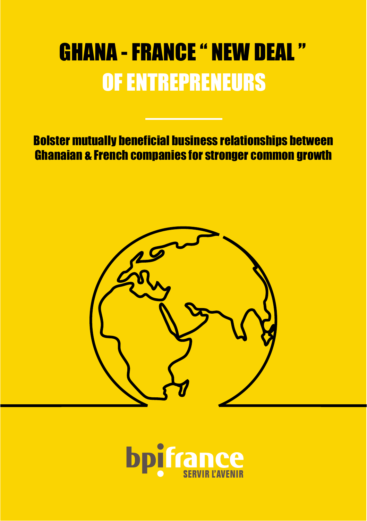# GHANA - FRANCE " NEW DEAL" OF ENTREPRENEURS

Bolster mutually beneficial business relationships between Ghanaian & French companies for stronger common growth



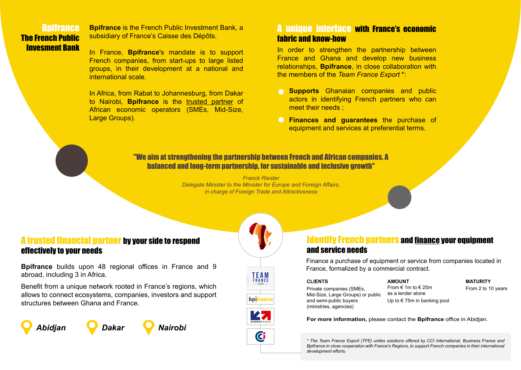#### **Bnifrance** The French Public Invesment Bank

**Bpifrance** is the French Public Investment Bank, a subsidiary of France's Caisse des Dépôts.

In France, **Bpifrance**'s mandate is to support French companies, from start-ups to large listed groups, in their development at a national and international scale.

In Africa, from Rabat to Johannesburg, from Dakar to Nairobi, **Bpifrance** is the trusted partner of African economic operators (SMEs, Mid-Size, Large Groups).

## A unique interface with France's economic fabric and know-how

In order to strengthen the partnership between France and Ghana and develop new business relationships, **Bpifrance**, in close collaboration with the members of the *Team France Export* \*:

- **Supports** Ghanaian companies and public actors in identifying French partners who can meet their needs ;
- **Finances and quarantees** the purchase of equipment and services at preferential terms.

#### "We aim at strengthening the partnership between French and African companies. A balanced and long-term partnership, for sustainable and inclusive growth"

*Franck Riester Delegate Minister to the Minister for Europe and Foreign Affairs, in charge of Foreign Trade and Attractiveness*

#### A trusted financial partner by your side to respond effectively to your needs

**Bpifrance** builds upon 48 regional offices in France and 9 abroad, including 3 in Africa.

Benefit from a unique network rooted in France's regions, which allows to connect ecosystems, companies, investors and support structures between Ghana and France.







## Identify French partners and finance your equipment and service needs

Finance a purchase of equipment or service from companies located in France, formalized by a commercial contract.

#### **CLIENTS**

Private companies (SMEs, Mid-Size, Large Groups) or public and semi-public buyers (ministries, agencies)

#### **AMOUNT** From  $\epsilon$  1m to  $\epsilon$  25m

as a lender alone Up to € 75m in banking pool

#### **MATURITY**

From 2 to 10 years

**For more information,** please contact the **Bpifrance** office in Abidjan.

*\* The Team France Export (TFE) unites solutions offered by CCI International, Business France and Bpifrance in close cooperation with France's Regions, to support French companies in their international development efforts.*